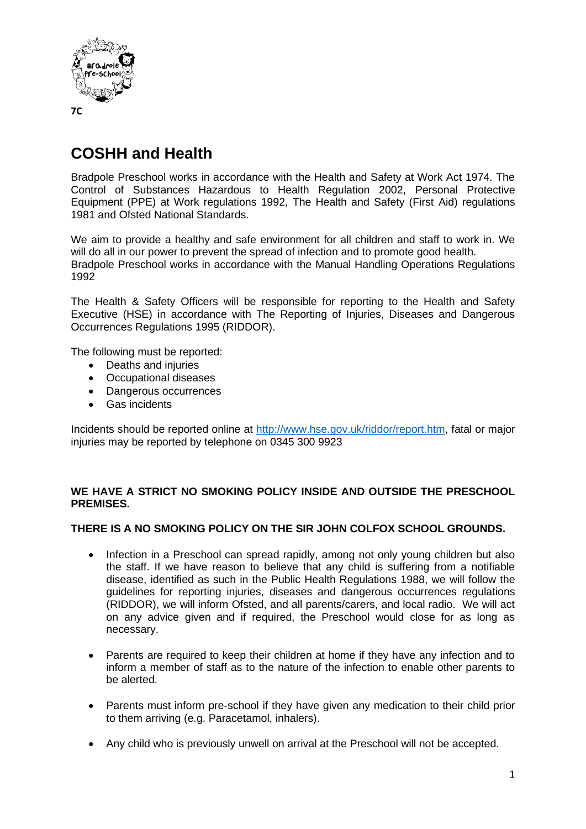

# **COSHH and Health**

Bradpole Preschool works in accordance with the Health and Safety at Work Act 1974. The Control of Substances Hazardous to Health Regulation 2002, Personal Protective Equipment (PPE) at Work regulations 1992, The Health and Safety (First Aid) regulations 1981 and Ofsted National Standards.

We aim to provide a healthy and safe environment for all children and staff to work in. We will do all in our power to prevent the spread of infection and to promote good health. Bradpole Preschool works in accordance with the Manual Handling Operations Regulations 1992

The Health & Safety Officers will be responsible for reporting to the Health and Safety Executive (HSE) in accordance with The Reporting of Injuries, Diseases and Dangerous Occurrences Regulations 1995 (RIDDOR).

The following must be reported:

- Deaths and injuries
- Occupational diseases
- Dangerous occurrences
- Gas incidents

Incidents should be reported online at [http://www.hse.gov.uk/riddor/report.htm,](http://www.hse.gov.uk/riddor/report.htm) fatal or major injuries may be reported by telephone on 0345 300 9923

#### **WE HAVE A STRICT NO SMOKING POLICY INSIDE AND OUTSIDE THE PRESCHOOL PREMISES.**

### **THERE IS A NO SMOKING POLICY ON THE SIR JOHN COLFOX SCHOOL GROUNDS.**

- Infection in a Preschool can spread rapidly, among not only young children but also the staff. If we have reason to believe that any child is suffering from a notifiable disease, identified as such in the Public Health Regulations 1988, we will follow the guidelines for reporting injuries, diseases and dangerous occurrences regulations (RIDDOR), we will inform Ofsted, and all parents/carers, and local radio. We will act on any advice given and if required, the Preschool would close for as long as necessary.
- Parents are required to keep their children at home if they have any infection and to inform a member of staff as to the nature of the infection to enable other parents to be alerted.
- Parents must inform pre-school if they have given any medication to their child prior to them arriving (e.g. Paracetamol, inhalers).
- Any child who is previously unwell on arrival at the Preschool will not be accepted.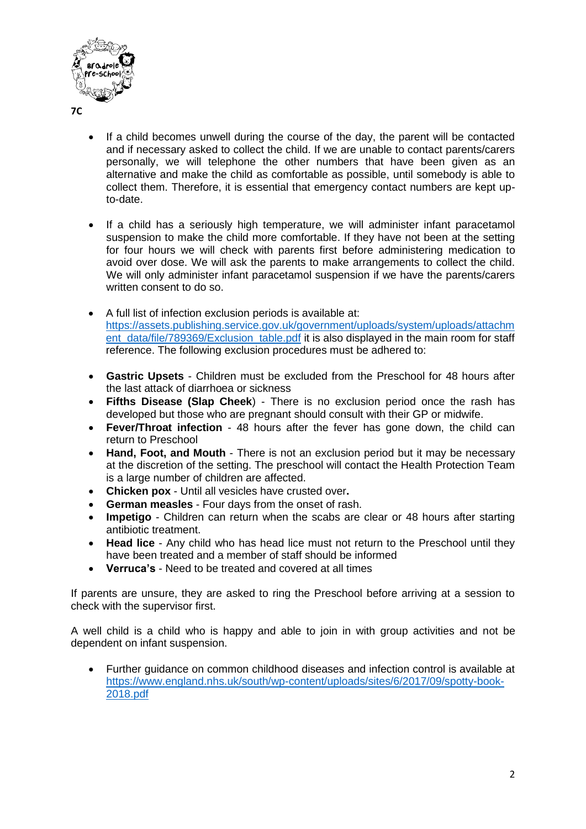

- **7C**
- If a child becomes unwell during the course of the day, the parent will be contacted and if necessary asked to collect the child. If we are unable to contact parents/carers personally, we will telephone the other numbers that have been given as an alternative and make the child as comfortable as possible, until somebody is able to collect them. Therefore, it is essential that emergency contact numbers are kept upto-date.
- If a child has a seriously high temperature, we will administer infant paracetamol suspension to make the child more comfortable. If they have not been at the setting for four hours we will check with parents first before administering medication to avoid over dose. We will ask the parents to make arrangements to collect the child. We will only administer infant paracetamol suspension if we have the parents/carers written consent to do so.
- A full list of infection exclusion periods is available at: [https://assets.publishing.service.gov.uk/government/uploads/system/uploads/attachm](https://assets.publishing.service.gov.uk/government/uploads/system/uploads/attachment_data/file/789369/Exclusion_table.pdf) [ent\\_data/file/789369/Exclusion\\_table.pdf](https://assets.publishing.service.gov.uk/government/uploads/system/uploads/attachment_data/file/789369/Exclusion_table.pdf) it is also displayed in the main room for staff reference. The following exclusion procedures must be adhered to:
- **Gastric Upsets** Children must be excluded from the Preschool for 48 hours after the last attack of diarrhoea or sickness
- **Fifths Disease (Slap Cheek**) There is no exclusion period once the rash has developed but those who are pregnant should consult with their GP or midwife.
- **Fever/Throat infection** 48 hours after the fever has gone down, the child can return to Preschool
- **Hand, Foot, and Mouth** There is not an exclusion period but it may be necessary at the discretion of the setting. The preschool will contact the Health Protection Team is a large number of children are affected.
- **Chicken pox**  Until all vesicles have crusted over**.**
- **German measles** Four days from the onset of rash.
- **Impetigo** Children can return when the scabs are clear or 48 hours after starting antibiotic treatment.
- **Head lice** Any child who has head lice must not return to the Preschool until they have been treated and a member of staff should be informed
- **Verruca's** Need to be treated and covered at all times

If parents are unsure, they are asked to ring the Preschool before arriving at a session to check with the supervisor first.

A well child is a child who is happy and able to join in with group activities and not be dependent on infant suspension.

• Further guidance on common childhood diseases and infection control is available at [https://www.england.nhs.uk/south/wp-content/uploads/sites/6/2017/09/spotty-book-](https://www.england.nhs.uk/south/wp-content/uploads/sites/6/2017/09/spotty-book-2018.pdf)[2018.pdf](https://www.england.nhs.uk/south/wp-content/uploads/sites/6/2017/09/spotty-book-2018.pdf)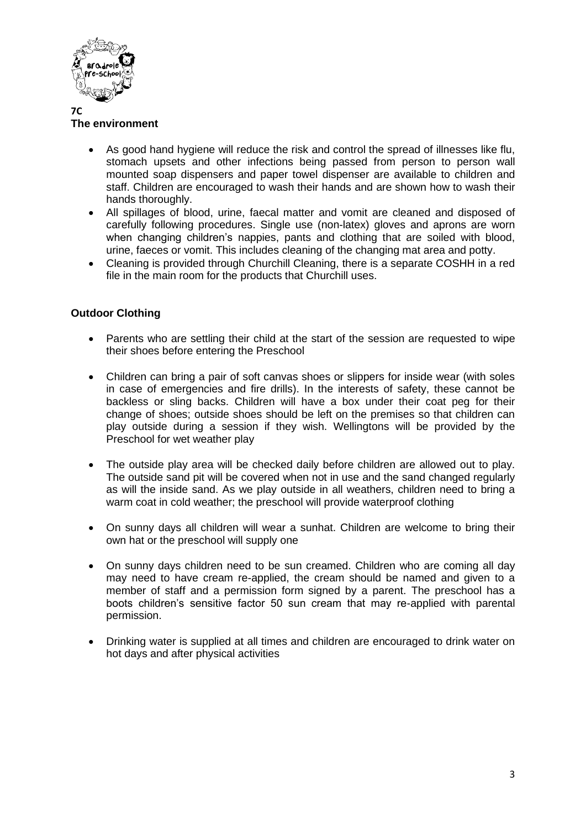

## **The environment**

- As good hand hygiene will reduce the risk and control the spread of illnesses like flu, stomach upsets and other infections being passed from person to person wall mounted soap dispensers and paper towel dispenser are available to children and staff. Children are encouraged to wash their hands and are shown how to wash their hands thoroughly.
- All spillages of blood, urine, faecal matter and vomit are cleaned and disposed of carefully following procedures. Single use (non-latex) gloves and aprons are worn when changing children's nappies, pants and clothing that are soiled with blood, urine, faeces or vomit. This includes cleaning of the changing mat area and potty.
- Cleaning is provided through Churchill Cleaning, there is a separate COSHH in a red file in the main room for the products that Churchill uses.

### **Outdoor Clothing**

- Parents who are settling their child at the start of the session are requested to wipe their shoes before entering the Preschool
- Children can bring a pair of soft canvas shoes or slippers for inside wear (with soles in case of emergencies and fire drills). In the interests of safety, these cannot be backless or sling backs. Children will have a box under their coat peg for their change of shoes; outside shoes should be left on the premises so that children can play outside during a session if they wish. Wellingtons will be provided by the Preschool for wet weather play
- The outside play area will be checked daily before children are allowed out to play. The outside sand pit will be covered when not in use and the sand changed regularly as will the inside sand. As we play outside in all weathers, children need to bring a warm coat in cold weather; the preschool will provide waterproof clothing
- On sunny days all children will wear a sunhat. Children are welcome to bring their own hat or the preschool will supply one
- On sunny days children need to be sun creamed. Children who are coming all day may need to have cream re-applied, the cream should be named and given to a member of staff and a permission form signed by a parent. The preschool has a boots children's sensitive factor 50 sun cream that may re-applied with parental permission.
- Drinking water is supplied at all times and children are encouraged to drink water on hot days and after physical activities